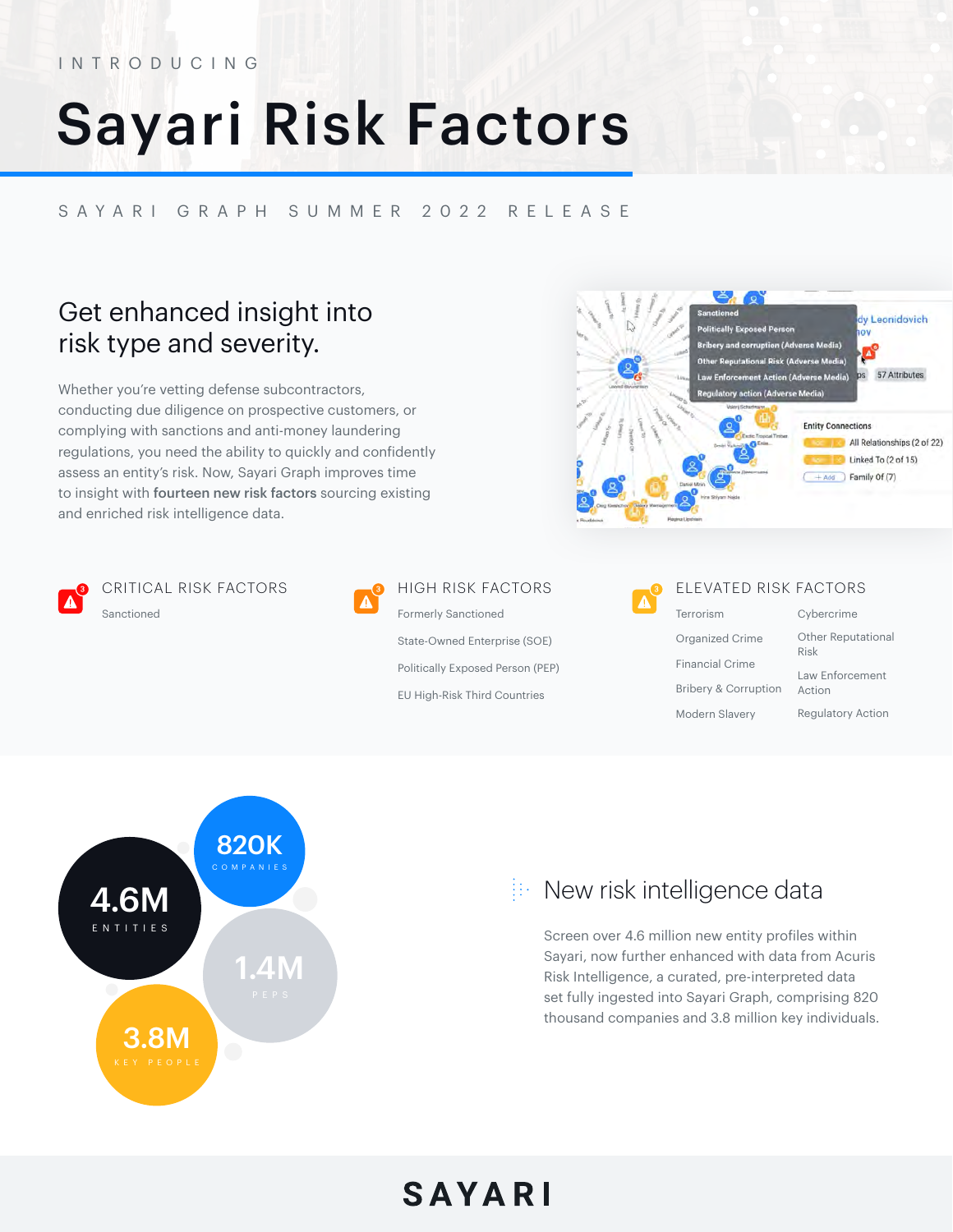#### INTRODUCING

# Sayari Risk Factors

#### SAYARI GRAPH SUMMER 2022 RELEASE

## Get enhanced insight into risk type and severity.

Whether you're vetting defense subcontractors, conducting due diligence on prospective customers, or complying with sanctions and anti-money laundering regulations, you need the ability to quickly and confidently assess an entity's risk. Now, Sayari Graph improves time to insight with fourteen new risk factors sourcing existing and enriched risk intelligence data.





CRITICAL RISK FACTORS Sanctioned



### HIGH RISK FACTORS

Formerly Sanctioned State-Owned Enterprise (SOE) Politically Exposed Person (PEP) EU High-Risk Third Countries



#### ELEVATED RISK FACTORS

Terrorism Organized Crime Financial Crime Bribery & Corruption Modern Slavery

| Cybercrime                        |
|-----------------------------------|
| <b>Other Reputational</b><br>Risk |
| Law Enforcement<br>Action         |
| <b>Regulatory Action</b>          |



## $\mathbb{R}$  New risk intelligence data

Screen over 4.6 million new entity profiles within Sayari, now further enhanced with data from Acuris Risk Intelligence, a curated, pre-interpreted data set fully ingested into Sayari Graph, comprising 820 thousand companies and 3.8 million key individuals.

## SAYARI